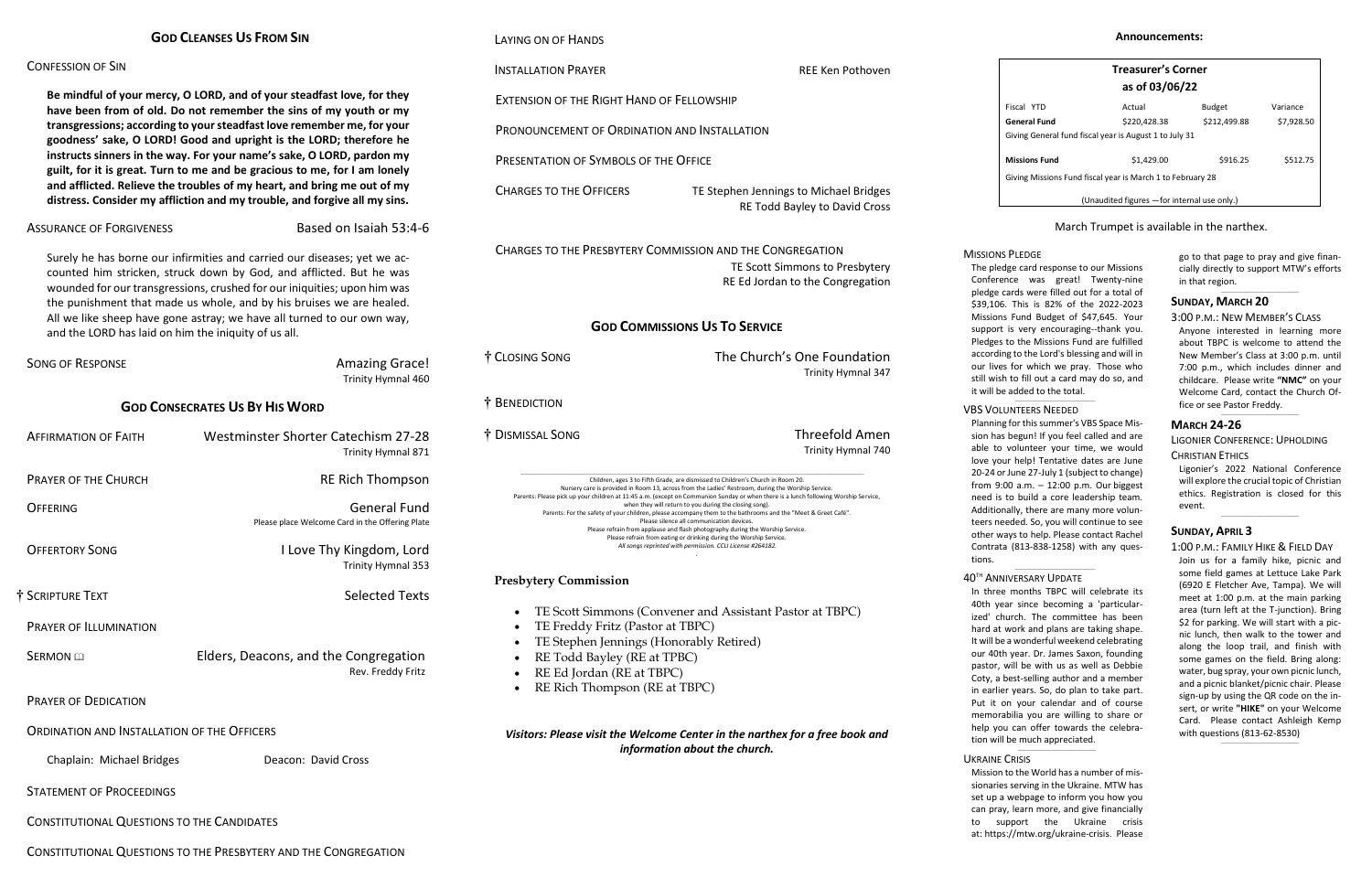| <b>GOD CLEANSES US FROM SIN</b> |  |
|---------------------------------|--|
|---------------------------------|--|

# CONFESSION OF SIN

**Be mindful of your mercy, O LORD, and of your steadfast love, for they have been from of old. Do not remember the sins of my youth or my transgressions; according to your steadfast love remember me, for your goodness' sake, O LORD! Good and upright is the LORD; therefore he instructs sinners in the way. For your name's sake, O LORD, pardon my guilt, for it is great. Turn to me and be gracious to me, for I am lonely and afflicted. Relieve the troubles of my heart, and bring me out of my distress. Consider my affliction and my trouble, and forgive all my sins.**

# ASSURANCE OF FORGIVENESS Based on Isaiah 53:4-6

| <b>SONG OF RESPONSE</b>                            | <b>Amazing Grace!</b><br>Trinity Hymnal 460                            |  |  |
|----------------------------------------------------|------------------------------------------------------------------------|--|--|
| <b>GOD CONSECRATES US BY HIS WORD</b>              |                                                                        |  |  |
| <b>AFFIRMATION OF FAITH</b>                        | Westminster Shorter Catechism 27-28<br>Trinity Hymnal 871              |  |  |
| <b>PRAYER OF THE CHURCH</b>                        | <b>RE Rich Thompson</b>                                                |  |  |
| OFFFRING                                           | <b>General Fund</b><br>Please place Welcome Card in the Offering Plate |  |  |
| <b>OFFERTORY SONG</b>                              | I Love Thy Kingdom, Lord<br>Trinity Hymnal 353                         |  |  |
| † SCRIPTURE TEXT                                   | <b>Selected Texts</b>                                                  |  |  |
| PRAYER OF ILLUMINATION                             |                                                                        |  |  |
| <b>SFRMON</b> E                                    | Elders, Deacons, and the Congregation<br>Rev. Freddy Fritz             |  |  |
| <b>PRAYER OF DEDICATION</b>                        |                                                                        |  |  |
| <b>ORDINATION AND INSTALLATION OF THE OFFICERS</b> |                                                                        |  |  |
| Chaplain: Michael Bridges                          | Deacon: David Cross                                                    |  |  |
| <b>STATEMENT OF PROCEEDINGS</b>                    |                                                                        |  |  |
| <b>CONSTITUTIONAL QUESTIONS TO THE CANDIDATES</b>  |                                                                        |  |  |

Surely he has borne our infirmities and carried our diseases; yet we accounted him stricken, struck down by God, and afflicted. But he was wounded for our transgressions, crushed for our iniquities; upon him was the punishment that made us whole, and by his bruises we are healed. All we like sheep have gone astray; we have all turned to our own way, and the LORD has laid on him the iniquity of us all.

CHARGES TO THE OFFICERS TE Stephen Jennings to Michael Bridges RE Todd Bayley to David Cross

Children, ages 3 to Fifth Grade, are dismissed to Children's Church in Room 20. Nursery care is provided in Room 13, across from the Ladies' Restroom, during the Worship Service. Parents: Please pick up your children at 11:45 a.m. (except on Communion Sunday or when there is a lunch following Worship Service, when they will return to you during the closing song). Parents: For the safety of your children, please accompany them to the bathrooms and the "Meet & Greet Café". Please silence all communication devices. Please refrain from applause and flash photography during the Worship Service. Please refrain from eating or drinking during the Worship Service. *All songs reprinted with permission. CCLI License #264182.*

- TE Scott Simmons (Convener and Assistant Pastor at TBPC)
- TE Freddy Fritz (Pastor at TBPC)
- TE Stephen Jennings (Honorably Retired)
- RE Todd Bayley (RE at TPBC)
- RE Ed Jordan (RE at TBPC)
- RE Rich Thompson (RE at TBPC)

CONSTITUTIONAL QUESTIONS TO THE PRESBYTERY AND THE CONGREGATION

# LAYING ON OF HANDS

# **INSTALLATION PRAYER REE KEN POTHOUSE ASSESSED ASSESSED AT A REE KEN POTHOUGH**

EXTENSION OF THE RIGHT HAND OF FELLOWSHIP

PRONOUNCEMENT OF ORDINATION AND INSTALLATION

PRESENTATION OF SYMBOLS OF THE OFFICE

CHARGES TO THE PRESBYTERY COMMISSION AND THE CONGREGATION TE Scott Simmons to Presbytery RE Ed Jordan to the Congregation

# **GOD COMMISSIONS US TO SERVICE**

| † CLOSING SONG | The Church's One Foundation<br>Trinity Hymnal 347 |
|----------------|---------------------------------------------------|
| † Benediction  |                                                   |

† DISMISSAL SONG Threefold Amen

Trinity Hymnal 740

Conference was great! Twenty-nine pledge cards were filled out for a total of \$39,106. This is 82% of the 2022-2023 Missions Fund Budget of \$47,645. Your support is very encouraging--thank you.<br>support is very encouraging--thank you. Pledges to the Missions Fund are fulfilled according to the Lord's blessing and will in our lives for which we pray. Those who still wish to fill out a card may do so, and it will be added to the total. The pledge card response to our Missions

*.*

# **Presbytery Commission**

 $n_{\rm H}$ tions.

In three months TBPC will celebrate its 40th year since becoming a 'particularized' church. The committee has been hard at work and plans are taking shape. It will be a wonderful weekend celebrating our 40th year. Dr. James Saxon, founding pastor, will be with us as well as Debbie Coty, a best-selling author and a member<br>. in earlier years. So, do plan to take part.<br>-Put it on your calendar and of course **\_\_\_\_\_\_\_\_\_\_\_\_\_\_\_\_\_\_\_\_\_\_\_\_\_\_\_\_\_\_\_\_\_\_\_** memorabilia you are willing to share or help you can offer towards the celebration will be much appreciated.

 $\_$ 

UKRAINE CRISIS

*Visitors: Please visit the Welcome Center in the narthex for a free book and information about the church.*

day music ministery is welcome to attend. Mission to the World has a number of missionaries serving in the Ukraine. MTW has set up a webpage to inform you how you can pray, learn more, and give financially to support the Ukraine crisis at: [https://mtw.org/ukraine-crisis.](https://mtw.org/ukraine-crisis) Please

go to that page to pray and give financially directly to support MTW's efforts in that region.  $\_$ 

|                                                            | <b>Treasurer's Corner</b><br>as of 03/06/22 |               |            |  |
|------------------------------------------------------------|---------------------------------------------|---------------|------------|--|
| Fiscal YTD                                                 | Actual                                      | <b>Budget</b> | Variance   |  |
| General Fund                                               | \$220,428.38                                | \$212,499.88  | \$7,928.50 |  |
| Giving General fund fiscal year is August 1 to July 31     |                                             |               |            |  |
| <b>Missions Fund</b>                                       | \$1,429.00                                  | \$916.25      | \$512.75   |  |
| Giving Missions Fund fiscal year is March 1 to February 28 |                                             |               |            |  |
| (Unaudited figures - for internal use only.)               |                                             |               |            |  |

# March Trumpet is available in the narthex.

# VBS VOLUNTEERS NEEDED

 $\_$ 

thank everyone for the their generous out-<br>Thanks the their generous out-Planning for this summer's VBS Space Mission has begun! If you feel called and are able to volunteer your time, we would love your help! Tentative dates are June 20-24 or June 27-July 1 (subject to change) from  $9:00$  a.m. – 12:00 p.m. Our biggest need is to build a core leadership team. Additionally, there are many more volunteers needed. So, you will continue to see other ways to help. Please contact Rachel Contrata (813-838-1258) with any ques-

### 40<sup>th</sup> Anniversary Update  $\_$

### MISSIONS PLEDGE

# **SUNDAY, MARCH 20**

- 3:00 P.M.: NEW MEMBER'S CLASS
- Anyone interested in learning more about TBPC is welcome to attend the New Member's Class at 3:00 p.m. until 7:00 p.m., which includes dinner and childcare. Please write **"NMC"** on your Welcome Card, contact the Church Office or see Pastor Freddy.

 $\_$ 

# **MARCH 24-26**

LIGONIER CONFERENCE: UPHOLDING CHRISTIAN ETHICS

Ligonier's 2022 National Conference will explore the crucial topic of Christian ethics. Registration is closed for this event.

 $\_$ 

## **SUNDAY, APRIL 3**

### 1:00 P.M.: FAMILY HIKE & FIELD DAY

Join us for a family hike, picnic and some field games at Lettuce Lake Park (6920 E Fletcher Ave, Tampa). We will meet at 1:00 p.m. at the main parking area (turn left at the T-junction). Bring \$2 for parking. We will start with a picnic lunch, then walk to the tower and along the loop trail, and finish with some games on the field. Bring along: water, bug spray, your own picnic lunch, and a picnic blanket/picnic chair. Please sign-up by using the QR code on the insert, or write **"HIKE"** on your Welcome Card. Please contact Ashleigh Kemp with questions (813-62-8530)

 $\_$